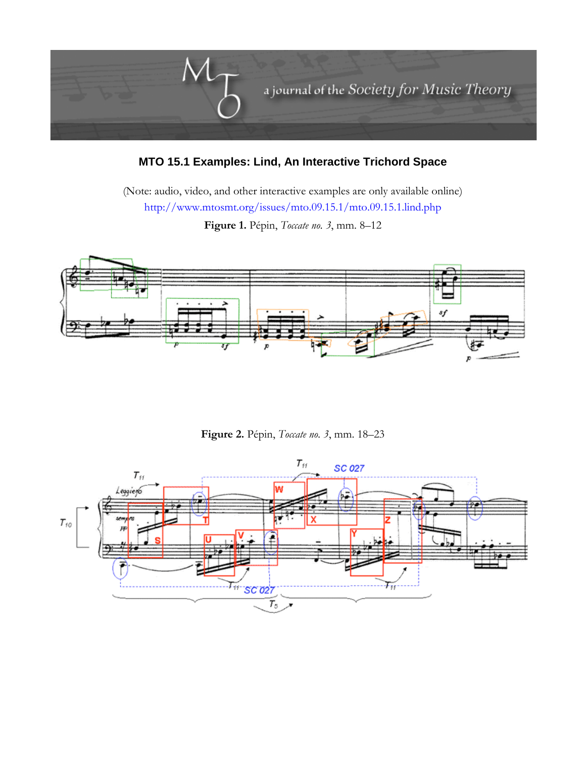

## **MTO 15.1 Examples: Lind, An Interactive Trichord Space**

(Note: audio, video, and other interactive examples are only available online) <http://www.mtosmt.org/issues/mto.09.15.1/mto.09.15.1.lind.php>

**Figure 1.** Pépin, *Toccate no. 3*, mm. 8–12



**Figure 2.** Pépin, *Toccate no. 3*, mm. 18–23

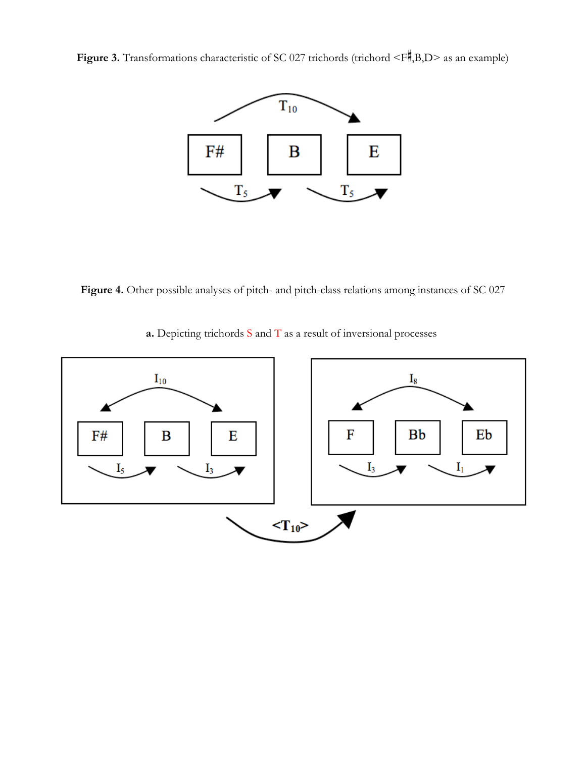**Figure 3.** Transformations characteristic of SC 027 trichords (trichord  $\leq F$ , B, D as an example)



**Figure 4.** Other possible analyses of pitch- and pitch-class relations among instances of SC 027

**a.** Depicting trichords S and T as a result of inversional processes

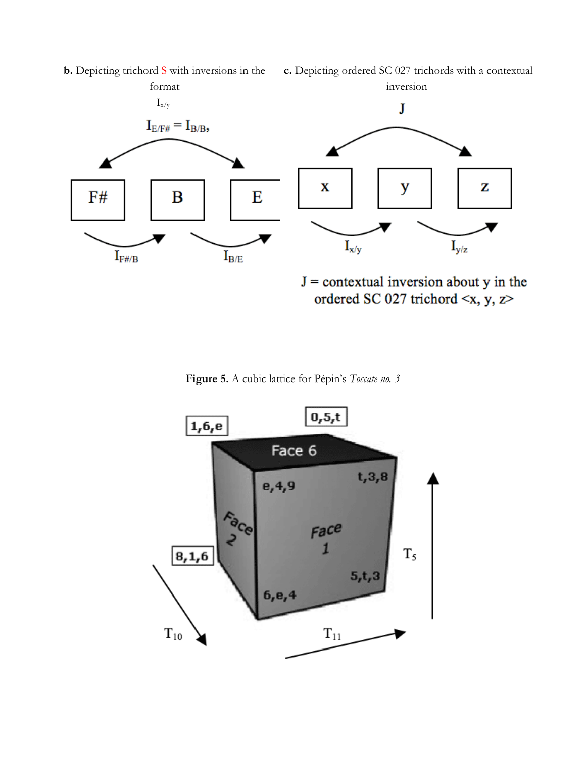

**Figure 5.** A cubic lattice for Pépin's *Toccate no. 3*



**b.** Depicting trichord S with inversions in the

**c.** Depicting ordered SC 027 trichords with a contextual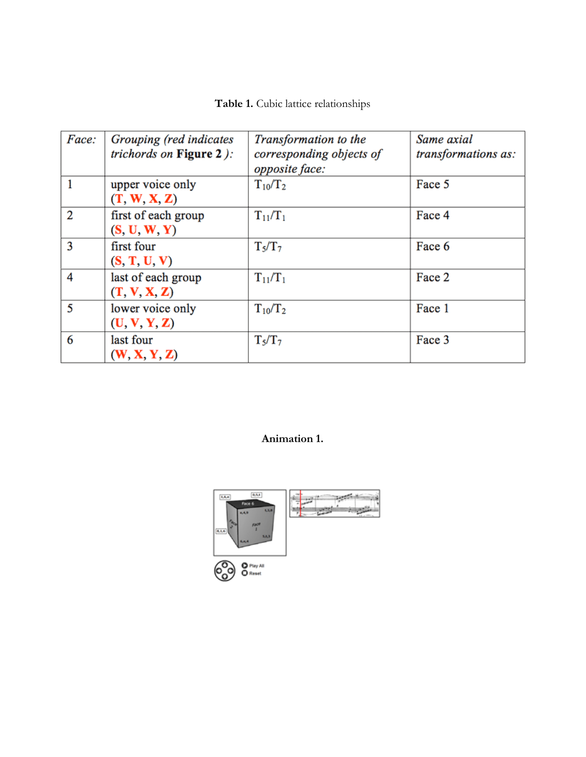| Table 1. Cubic lattice relationships |  |  |  |  |
|--------------------------------------|--|--|--|--|
|--------------------------------------|--|--|--|--|

| Face:          | Grouping (red indicates<br>trichords on Figure $2$ ): | Transformation to the<br>corresponding objects of<br>opposite face: | Same axial<br>transformations as: |
|----------------|-------------------------------------------------------|---------------------------------------------------------------------|-----------------------------------|
| 1              | upper voice only<br>(T, W, X, Z)                      | $T_{10}/T_2$                                                        | Face 5                            |
| $\overline{2}$ | first of each group<br>(S, U, W, Y)                   | $T_{11}/T_1$                                                        | Face 4                            |
| 3              | first four<br>(S, T, U, V)                            | $T_5/T_7$                                                           | Face 6                            |
| 4              | last of each group<br>(T, V, X, Z)                    | $T_{11}/T_1$                                                        | Face 2                            |
| 5              | lower voice only<br>(U, V, Y, Z)                      | $T_{10}/T_2$                                                        | Face 1                            |
| 6              | last four<br>(W, X, Y, Z)                             | $T_5/T_7$                                                           | Face 3                            |

## **Animation 1.**

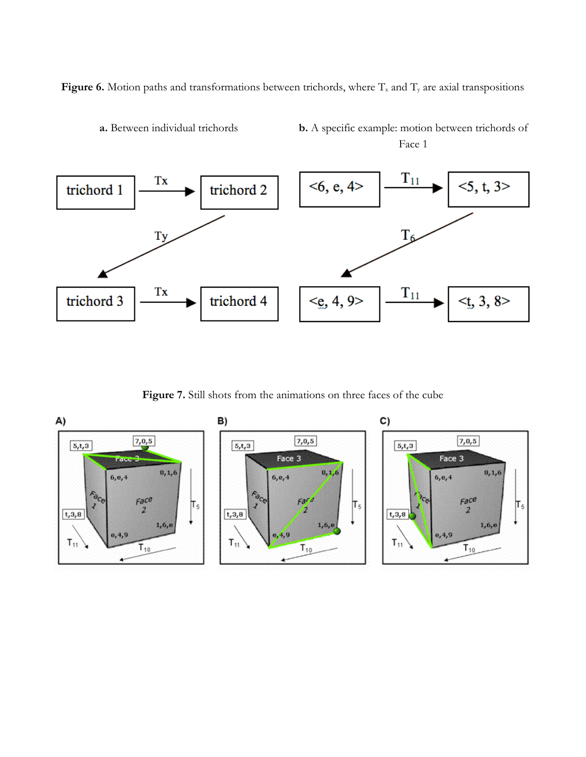Figure 6. Motion paths and transformations between trichords, where T<sub>x</sub> and T<sub>y</sub> are axial transpositions



**a.** Between individual trichords **b.** A specific example: motion between trichords of Face 1

**Figure 7.** Still shots from the animations on three faces of the cube

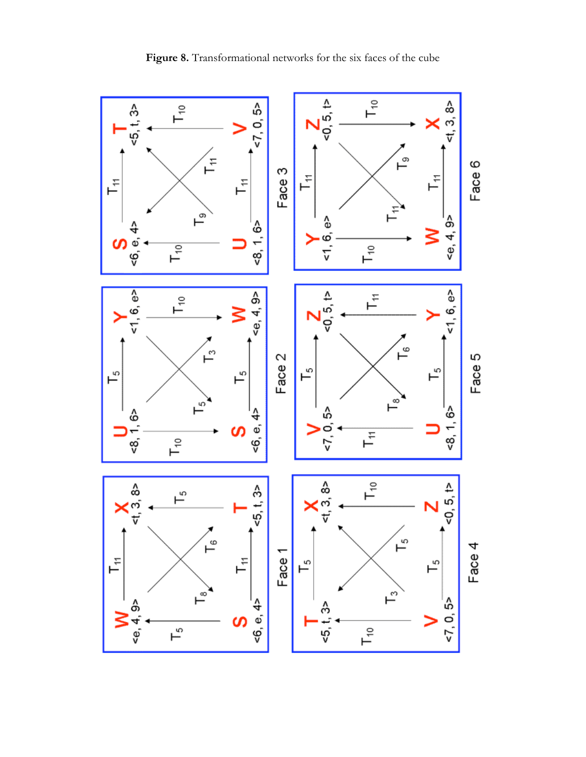

**Figure 8.** Transformational networks for the six faces of the cube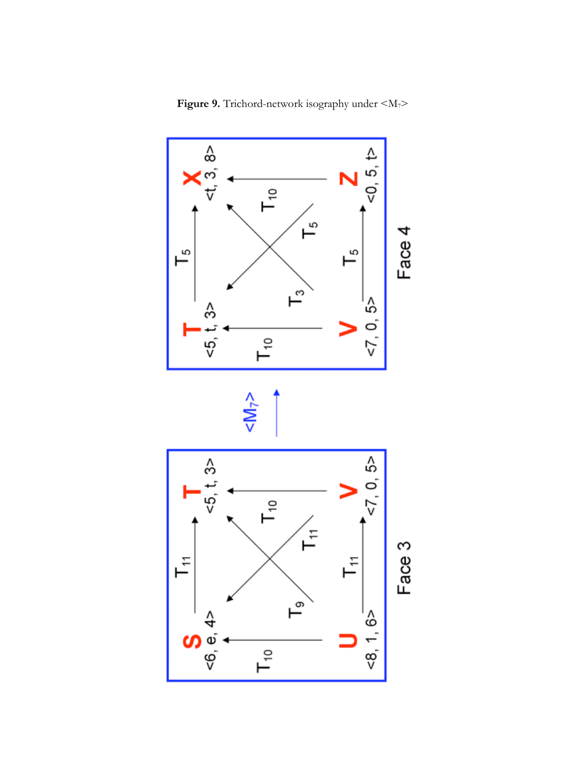

**Figure 9.** Trichord-network isography under  $\langle M_{7} \rangle$ 



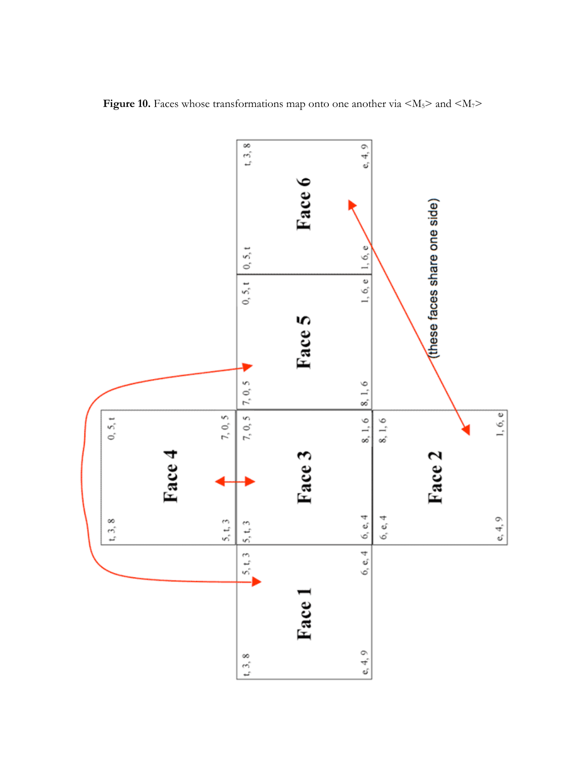

**Figure 10.** Faces whose transformations map onto one another via  $\langle M_5 \rangle$  and  $\langle M_7 \rangle$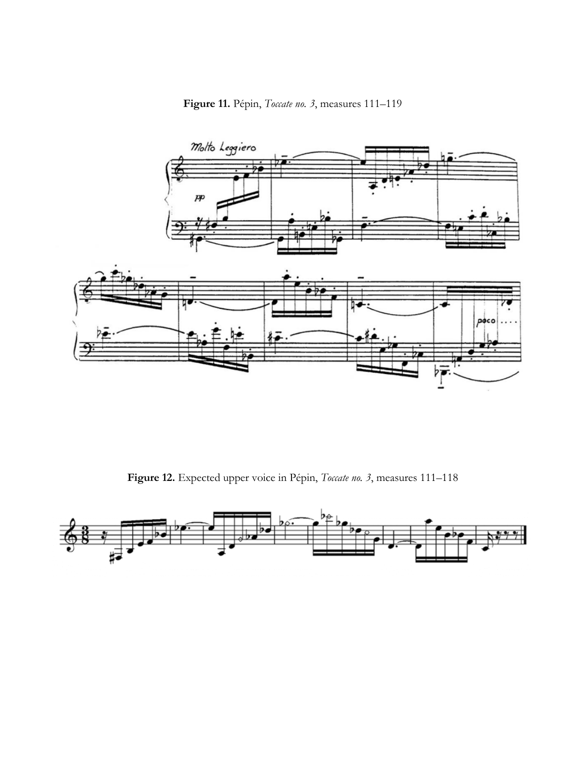**Figure 11.** Pépin, *Toccate no. 3*, measures 111–119



**Figure 12.** Expected upper voice in Pépin, *Toccate no. 3*, measures 111–118

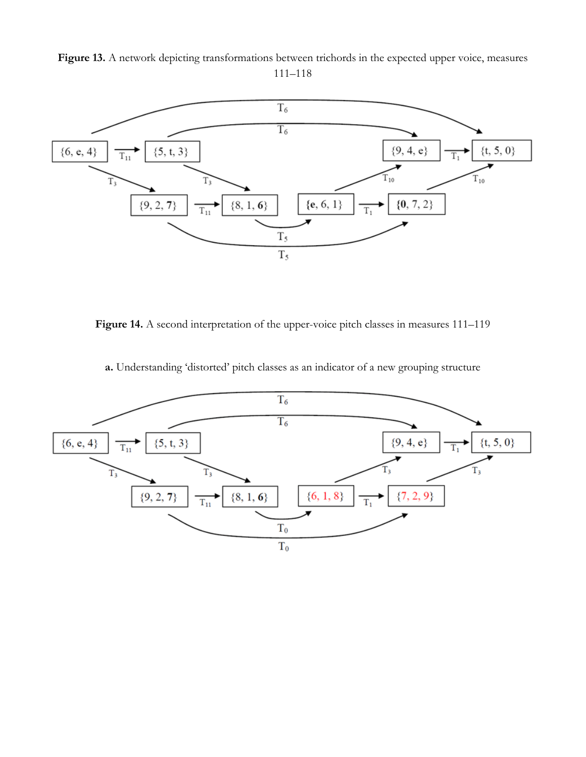Figure 13. A network depicting transformations between trichords in the expected upper voice, measures 111–118



Figure 14. A second interpretation of the upper-voice pitch classes in measures 111–119

**a.** Understanding 'distorted' pitch classes as an indicator of a new grouping structure

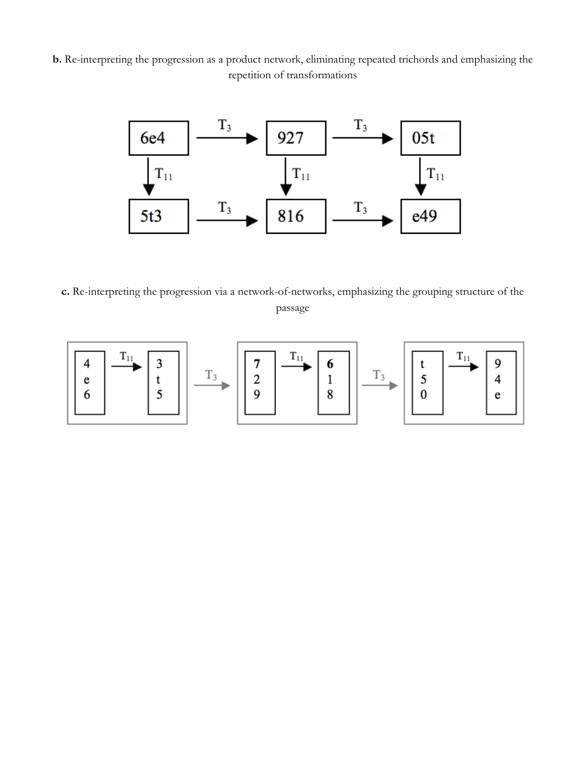**b.** Re-interpreting the progression as a product network, eliminating repeated trichords and emphasizing the repetition of transformations



**c.** Re-interpreting the progression via a network-of-networks, emphasizing the grouping structure of the passage

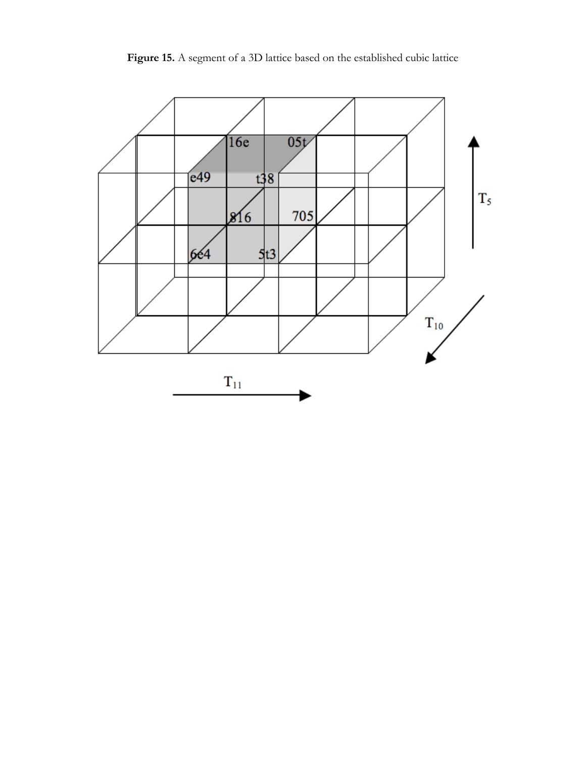**Figure 15.** A segment of a 3D lattice based on the established cubic lattice

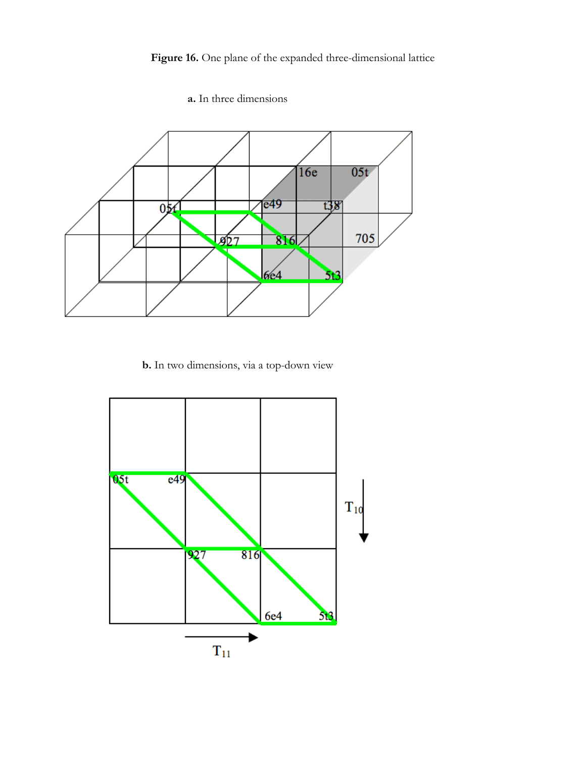

## **a.** In three dimensions

## **b.** In two dimensions, via a top-down view

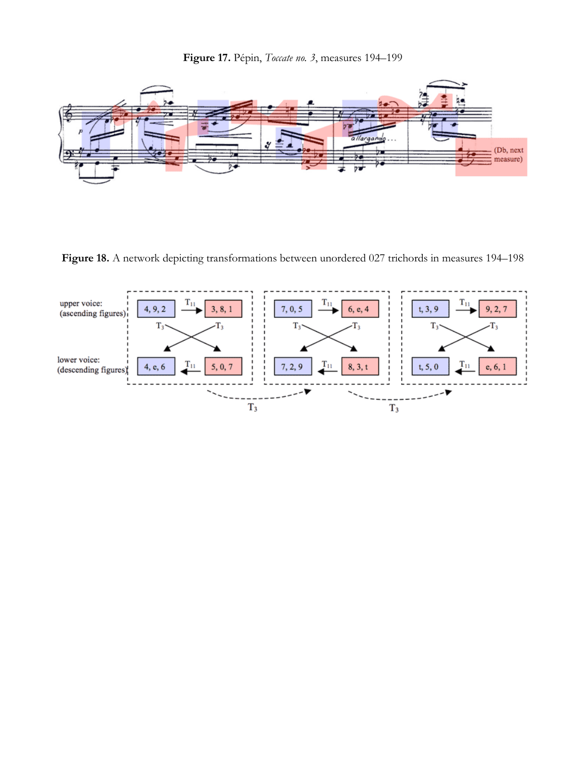**Figure 17.** Pépin, *Toccate no. 3*, measures 194–199



**Figure 18.** A network depicting transformations between unordered 027 trichords in measures 194–198

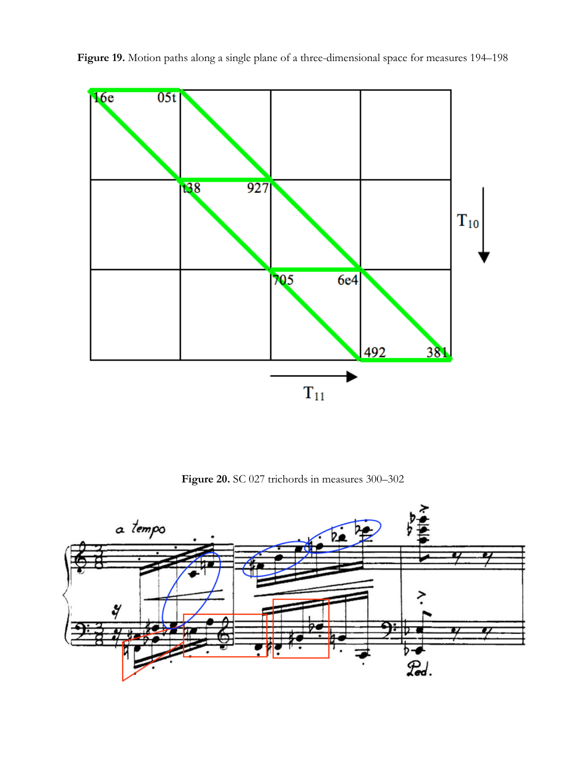

Figure 19. Motion paths along a single plane of a three-dimensional space for measures 194–198

**Figure 20.** SC 027 trichords in measures 300–302

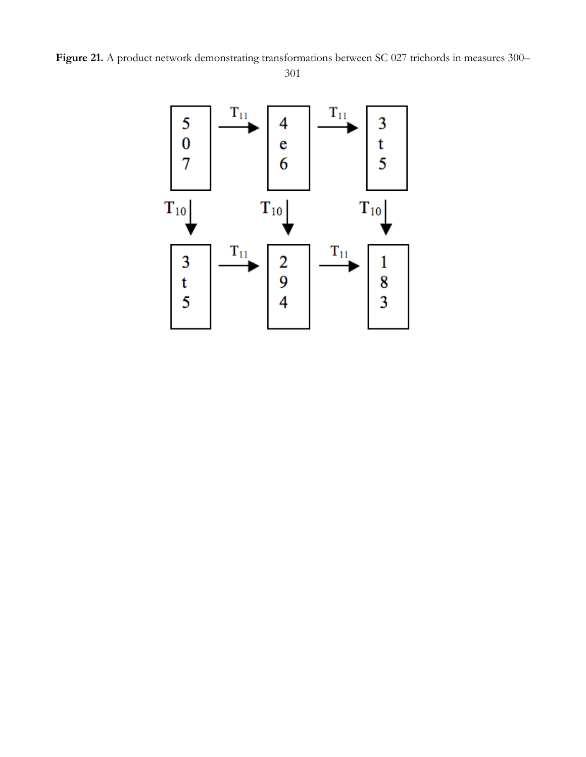Figure 21. A product network demonstrating transformations between SC 027 trichords in measures 300– 301